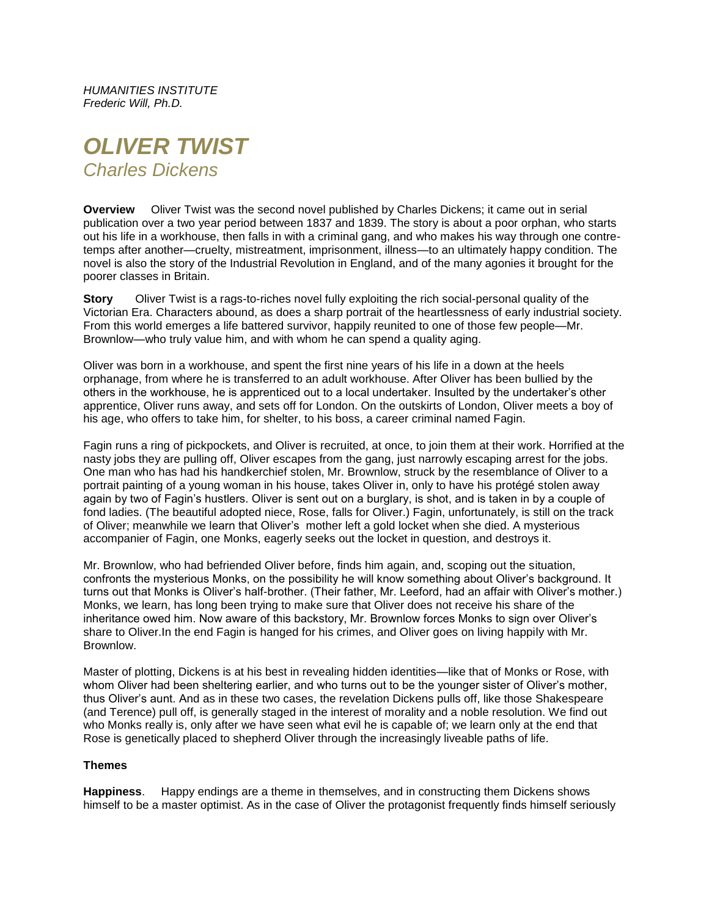*HUMANITIES INSTITUTE Frederic Will, Ph.D.*

# *OLIVER TWIST Charles Dickens*

**Overview** Oliver Twist was the second novel published by Charles Dickens; it came out in serial publication over a two year period between 1837 and 1839. The story is about a poor orphan, who starts out his life in a workhouse, then falls in with a criminal gang, and who makes his way through one contretemps after another—cruelty, mistreatment, imprisonment, illness—to an ultimately happy condition. The novel is also the story of the Industrial Revolution in England, and of the many agonies it brought for the poorer classes in Britain.

**Story** Oliver Twist is a rags-to-riches novel fully exploiting the rich social-personal quality of the Victorian Era. Characters abound, as does a sharp portrait of the heartlessness of early industrial society. From this world emerges a life battered survivor, happily reunited to one of those few people—Mr. Brownlow—who truly value him, and with whom he can spend a quality aging.

Oliver was born in a workhouse, and spent the first nine years of his life in a down at the heels orphanage, from where he is transferred to an adult workhouse. After Oliver has been bullied by the others in the workhouse, he is apprenticed out to a local undertaker. Insulted by the undertaker's other apprentice, Oliver runs away, and sets off for London. On the outskirts of London, Oliver meets a boy of his age, who offers to take him, for shelter, to his boss, a career criminal named Fagin.

Fagin runs a ring of pickpockets, and Oliver is recruited, at once, to join them at their work. Horrified at the nasty jobs they are pulling off, Oliver escapes from the gang, just narrowly escaping arrest for the jobs. One man who has had his handkerchief stolen, Mr. Brownlow, struck by the resemblance of Oliver to a portrait painting of a young woman in his house, takes Oliver in, only to have his protégé stolen away again by two of Fagin's hustlers. Oliver is sent out on a burglary, is shot, and is taken in by a couple of fond ladies. (The beautiful adopted niece, Rose, falls for Oliver.) Fagin, unfortunately, is still on the track of Oliver; meanwhile we learn that Oliver's mother left a gold locket when she died. A mysterious accompanier of Fagin, one Monks, eagerly seeks out the locket in question, and destroys it.

Mr. Brownlow, who had befriended Oliver before, finds him again, and, scoping out the situation, confronts the mysterious Monks, on the possibility he will know something about Oliver's background. It turns out that Monks is Oliver's half-brother. (Their father, Mr. Leeford, had an affair with Oliver's mother.) Monks, we learn, has long been trying to make sure that Oliver does not receive his share of the inheritance owed him. Now aware of this backstory, Mr. Brownlow forces Monks to sign over Oliver's share to Oliver.In the end Fagin is hanged for his crimes, and Oliver goes on living happily with Mr. Brownlow.

Master of plotting, Dickens is at his best in revealing hidden identities—like that of Monks or Rose, with whom Oliver had been sheltering earlier, and who turns out to be the younger sister of Oliver's mother, thus Oliver's aunt. And as in these two cases, the revelation Dickens pulls off, like those Shakespeare (and Terence) pull off, is generally staged in the interest of morality and a noble resolution. We find out who Monks really is, only after we have seen what evil he is capable of; we learn only at the end that Rose is genetically placed to shepherd Oliver through the increasingly liveable paths of life.

## **Themes**

**Happiness**. Happy endings are a theme in themselves, and in constructing them Dickens shows himself to be a master optimist. As in the case of Oliver the protagonist frequently finds himself seriously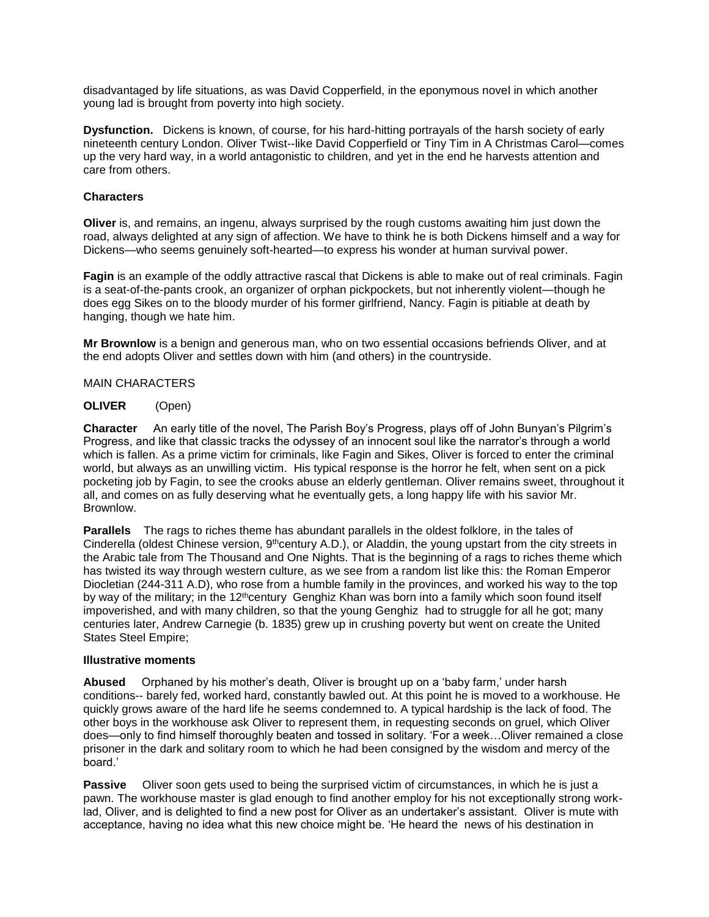disadvantaged by life situations, as was David Copperfield, in the eponymous novel in which another young lad is brought from poverty into high society.

**Dysfunction.** Dickens is known, of course, for his hard-hitting portrayals of the harsh society of early nineteenth century London. Oliver Twist--like David Copperfield or Tiny Tim in A Christmas Carol—comes up the very hard way, in a world antagonistic to children, and yet in the end he harvests attention and care from others.

## **Characters**

**Oliver** is, and remains, an ingenu, always surprised by the rough customs awaiting him just down the road, always delighted at any sign of affection. We have to think he is both Dickens himself and a way for Dickens—who seems genuinely soft-hearted—to express his wonder at human survival power.

**Fagin** is an example of the oddly attractive rascal that Dickens is able to make out of real criminals. Fagin is a seat-of-the-pants crook, an organizer of orphan pickpockets, but not inherently violent—though he does egg Sikes on to the bloody murder of his former girlfriend, Nancy. Fagin is pitiable at death by hanging, though we hate him.

**Mr Brownlow** is a benign and generous man, who on two essential occasions befriends Oliver, and at the end adopts Oliver and settles down with him (and others) in the countryside.

## MAIN CHARACTERS

## **OLIVER** (Open)

**Character** An early title of the novel, The Parish Boy's Progress, plays off of John Bunyan's Pilgrim's Progress, and like that classic tracks the odyssey of an innocent soul like the narrator's through a world which is fallen. As a prime victim for criminals, like Fagin and Sikes, Oliver is forced to enter the criminal world, but always as an unwilling victim. His typical response is the horror he felt, when sent on a pick pocketing job by Fagin, to see the crooks abuse an elderly gentleman. Oliver remains sweet, throughout it all, and comes on as fully deserving what he eventually gets, a long happy life with his savior Mr. Brownlow.

**Parallels** The rags to riches theme has abundant parallels in the oldest folklore, in the tales of Cinderella (oldest Chinese version, 9<sup>th</sup>century A.D.), or Aladdin, the young upstart from the city streets in the Arabic tale from The Thousand and One Nights. That is the beginning of a rags to riches theme which has twisted its way through western culture, as we see from a random list like this: the Roman Emperor Diocletian (244-311 A.D), who rose from a humble family in the provinces, and worked his way to the top by way of the military; in the 12<sup>th</sup>century Genghiz Khan was born into a family which soon found itself impoverished, and with many children, so that the young Genghiz had to struggle for all he got; many centuries later, Andrew Carnegie (b. 1835) grew up in crushing poverty but went on create the United States Steel Empire;

#### **Illustrative moments**

**Abused** Orphaned by his mother's death, Oliver is brought up on a 'baby farm,' under harsh conditions-- barely fed, worked hard, constantly bawled out. At this point he is moved to a workhouse. He quickly grows aware of the hard life he seems condemned to. A typical hardship is the lack of food. The other boys in the workhouse ask Oliver to represent them, in requesting seconds on gruel, which Oliver does—only to find himself thoroughly beaten and tossed in solitary. 'For a week…Oliver remained a close prisoner in the dark and solitary room to which he had been consigned by the wisdom and mercy of the board.'

**Passive** Oliver soon gets used to being the surprised victim of circumstances, in which he is just a pawn. The workhouse master is glad enough to find another employ for his not exceptionally strong worklad, Oliver, and is delighted to find a new post for Oliver as an undertaker's assistant. Oliver is mute with acceptance, having no idea what this new choice might be. 'He heard the news of his destination in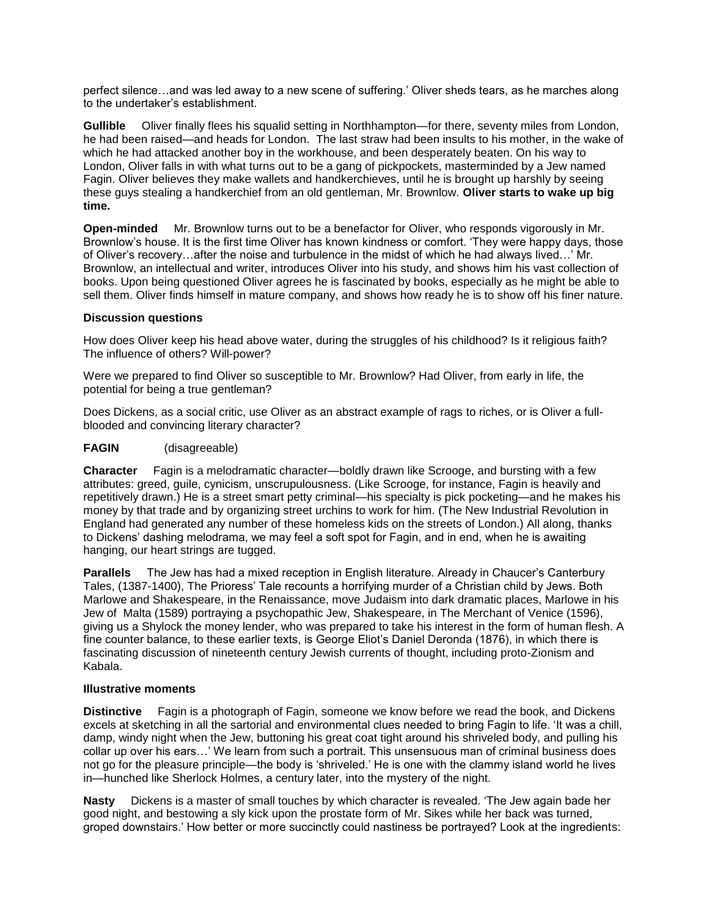perfect silence…and was led away to a new scene of suffering.' Oliver sheds tears, as he marches along to the undertaker's establishment.

**Gullible** Oliver finally flees his squalid setting in Northhampton—for there, seventy miles from London, he had been raised—and heads for London. The last straw had been insults to his mother, in the wake of which he had attacked another boy in the workhouse, and been desperately beaten. On his way to London, Oliver falls in with what turns out to be a gang of pickpockets, masterminded by a Jew named Fagin. Oliver believes they make wallets and handkerchieves, until he is brought up harshly by seeing these guys stealing a handkerchief from an old gentleman, Mr. Brownlow. **Oliver starts to wake up big time.**

**Open-minded** Mr. Brownlow turns out to be a benefactor for Oliver, who responds vigorously in Mr. Brownlow's house. It is the first time Oliver has known kindness or comfort. 'They were happy days, those of Oliver's recovery…after the noise and turbulence in the midst of which he had always lived…' Mr. Brownlow, an intellectual and writer, introduces Oliver into his study, and shows him his vast collection of books. Upon being questioned Oliver agrees he is fascinated by books, especially as he might be able to sell them. Oliver finds himself in mature company, and shows how ready he is to show off his finer nature.

## **Discussion questions**

How does Oliver keep his head above water, during the struggles of his childhood? Is it religious faith? The influence of others? Will-power?

Were we prepared to find Oliver so susceptible to Mr. Brownlow? Had Oliver, from early in life, the potential for being a true gentleman?

Does Dickens, as a social critic, use Oliver as an abstract example of rags to riches, or is Oliver a fullblooded and convincing literary character?

## **FAGIN** (disagreeable)

**Character** Fagin is a melodramatic character—boldly drawn like Scrooge, and bursting with a few attributes: greed, guile, cynicism, unscrupulousness. (Like Scrooge, for instance, Fagin is heavily and repetitively drawn.) He is a street smart petty criminal—his specialty is pick pocketing—and he makes his money by that trade and by organizing street urchins to work for him. (The New Industrial Revolution in England had generated any number of these homeless kids on the streets of London.) All along, thanks to Dickens' dashing melodrama, we may feel a soft spot for Fagin, and in end, when he is awaiting hanging, our heart strings are tugged.

**Parallels** The Jew has had a mixed reception in English literature. Already in Chaucer's Canterbury Tales, (1387-1400), The Prioress' Tale recounts a horrifying murder of a Christian child by Jews. Both Marlowe and Shakespeare, in the Renaissance, move Judaism into dark dramatic places, Marlowe in his Jew of Malta (1589) portraying a psychopathic Jew, Shakespeare, in The Merchant of Venice (1596), giving us a Shylock the money lender, who was prepared to take his interest in the form of human flesh. A fine counter balance, to these earlier texts, is George Eliot's Daniel Deronda (1876), in which there is fascinating discussion of nineteenth century Jewish currents of thought, including proto-Zionism and Kabala.

## **Illustrative moments**

**Distinctive** Fagin is a photograph of Fagin, someone we know before we read the book, and Dickens excels at sketching in all the sartorial and environmental clues needed to bring Fagin to life. 'It was a chill, damp, windy night when the Jew, buttoning his great coat tight around his shriveled body, and pulling his collar up over his ears…' We learn from such a portrait. This unsensuous man of criminal business does not go for the pleasure principle—the body is 'shriveled.' He is one with the clammy island world he lives in—hunched like Sherlock Holmes, a century later, into the mystery of the night.

**Nasty** Dickens is a master of small touches by which character is revealed. 'The Jew again bade her good night, and bestowing a sly kick upon the prostate form of Mr. Sikes while her back was turned, groped downstairs.' How better or more succinctly could nastiness be portrayed? Look at the ingredients: